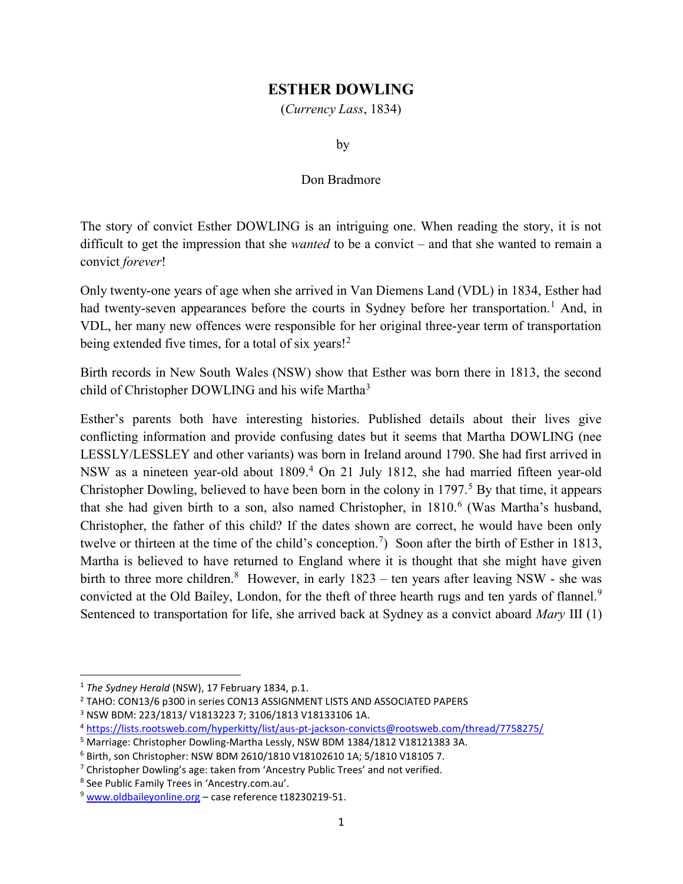## ESTHER DOWLING

(Currency Lass, 1834)

by

## Don Bradmore

The story of convict Esther DOWLING is an intriguing one. When reading the story, it is not difficult to get the impression that she *wanted* to be a convict – and that she wanted to remain a convict forever!

Only twenty-one years of age when she arrived in Van Diemens Land (VDL) in 1834, Esther had had twenty-seven appearances before the courts in Sydney before her transportation.<sup>1</sup> And, in VDL, her many new offences were responsible for her original three-year term of transportation being extended five times, for a total of six years!<sup>2</sup>

Birth records in New South Wales (NSW) show that Esther was born there in 1813, the second child of Christopher DOWLING and his wife Martha<sup>3</sup>

Esther's parents both have interesting histories. Published details about their lives give conflicting information and provide confusing dates but it seems that Martha DOWLING (nee LESSLY/LESSLEY and other variants) was born in Ireland around 1790. She had first arrived in NSW as a nineteen year-old about 1809.<sup>4</sup> On 21 July 1812, she had married fifteen year-old Christopher Dowling, believed to have been born in the colony in 1797.<sup>5</sup> By that time, it appears that she had given birth to a son, also named Christopher, in 1810.<sup>6</sup> (Was Martha's husband, Christopher, the father of this child? If the dates shown are correct, he would have been only twelve or thirteen at the time of the child's conception.<sup>7</sup>) Soon after the birth of Esther in 1813, Martha is believed to have returned to England where it is thought that she might have given birth to three more children.<sup>8</sup> However, in early  $1823$  – ten years after leaving NSW - she was convicted at the Old Bailey, London, for the theft of three hearth rugs and ten yards of flannel.<sup>9</sup> Sentenced to transportation for life, she arrived back at Sydney as a convict aboard Mary III (1)

 $\overline{a}$ 

<sup>&</sup>lt;sup>1</sup> The Sydney Herald (NSW), 17 February 1834, p.1.

<sup>&</sup>lt;sup>2</sup> TAHO: CON13/6 p300 in series CON13 ASSIGNMENT LISTS AND ASSOCIATED PAPERS

<sup>3</sup> NSW BDM: 223/1813/ V1813223 7; 3106/1813 V18133106 1A.

<sup>4</sup> https://lists.rootsweb.com/hyperkitty/list/aus-pt-jackson-convicts@rootsweb.com/thread/7758275/

<sup>&</sup>lt;sup>5</sup> Marriage: Christopher Dowling-Martha Lessly, NSW BDM 1384/1812 V18121383 3A.

<sup>6</sup> Birth, son Christopher: NSW BDM 2610/1810 V18102610 1A; 5/1810 V18105 7.

<sup>&</sup>lt;sup>7</sup> Christopher Dowling's age: taken from 'Ancestry Public Trees' and not verified.

<sup>8</sup> See Public Family Trees in 'Ancestry.com.au'.

 $9$  www.oldbaileyonline.org – case reference t18230219-51.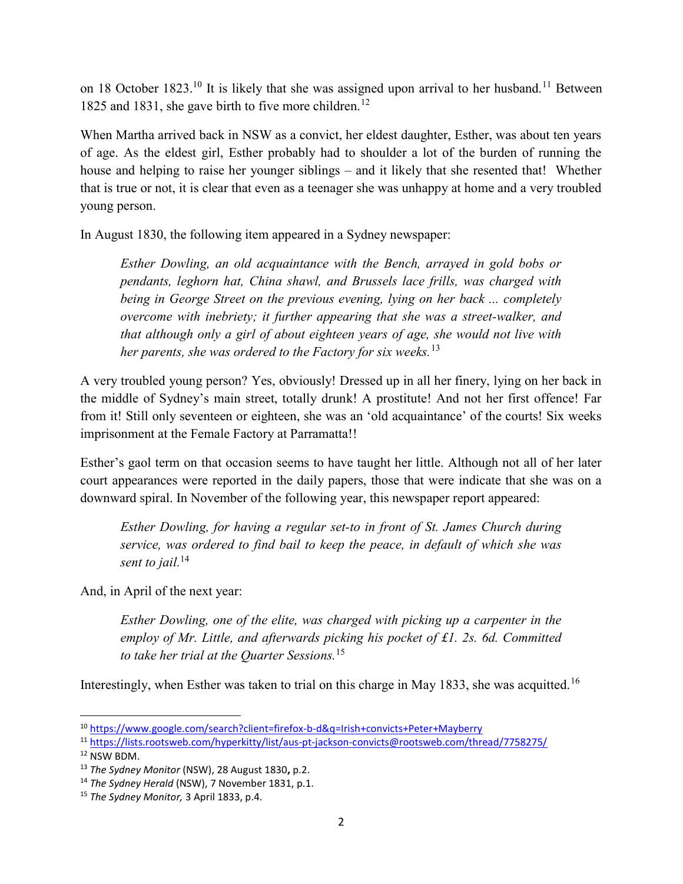on 18 October 1823.<sup>10</sup> It is likely that she was assigned upon arrival to her husband.<sup>11</sup> Between 1825 and 1831, she gave birth to five more children.<sup>12</sup>

When Martha arrived back in NSW as a convict, her eldest daughter, Esther, was about ten years of age. As the eldest girl, Esther probably had to shoulder a lot of the burden of running the house and helping to raise her younger siblings – and it likely that she resented that! Whether that is true or not, it is clear that even as a teenager she was unhappy at home and a very troubled young person.

In August 1830, the following item appeared in a Sydney newspaper:

Esther Dowling, an old acquaintance with the Bench, arrayed in gold bobs or pendants, leghorn hat, China shawl, and Brussels lace frills, was charged with being in George Street on the previous evening, lying on her back ... completely overcome with inebriety; it further appearing that she was a street-walker, and that although only a girl of about eighteen years of age, she would not live with her parents, she was ordered to the Factory for six weeks.<sup>13</sup>

A very troubled young person? Yes, obviously! Dressed up in all her finery, lying on her back in the middle of Sydney's main street, totally drunk! A prostitute! And not her first offence! Far from it! Still only seventeen or eighteen, she was an 'old acquaintance' of the courts! Six weeks imprisonment at the Female Factory at Parramatta!!

Esther's gaol term on that occasion seems to have taught her little. Although not all of her later court appearances were reported in the daily papers, those that were indicate that she was on a downward spiral. In November of the following year, this newspaper report appeared:

Esther Dowling, for having a regular set-to in front of St. James Church during service, was ordered to find bail to keep the peace, in default of which she was sent to jail.<sup>14</sup>

And, in April of the next year:

Esther Dowling, one of the elite, was charged with picking up a carpenter in the employ of Mr. Little, and afterwards picking his pocket of £1. 2s. 6d. Committed to take her trial at the Quarter Sessions.<sup>15</sup>

Interestingly, when Esther was taken to trial on this charge in May 1833, she was acquitted.<sup>16</sup>

<sup>10</sup> https://www.google.com/search?client=firefox-b-d&q=Irish+convicts+Peter+Mayberry

<sup>11</sup> https://lists.rootsweb.com/hyperkitty/list/aus-pt-jackson-convicts@rootsweb.com/thread/7758275/

<sup>12</sup> NSW BDM.

<sup>&</sup>lt;sup>13</sup> The Sydney Monitor (NSW), 28 August 1830, p.2.

<sup>&</sup>lt;sup>14</sup> The Sydney Herald (NSW), 7 November 1831, p.1.

<sup>&</sup>lt;sup>15</sup> The Sydney Monitor, 3 April 1833, p.4.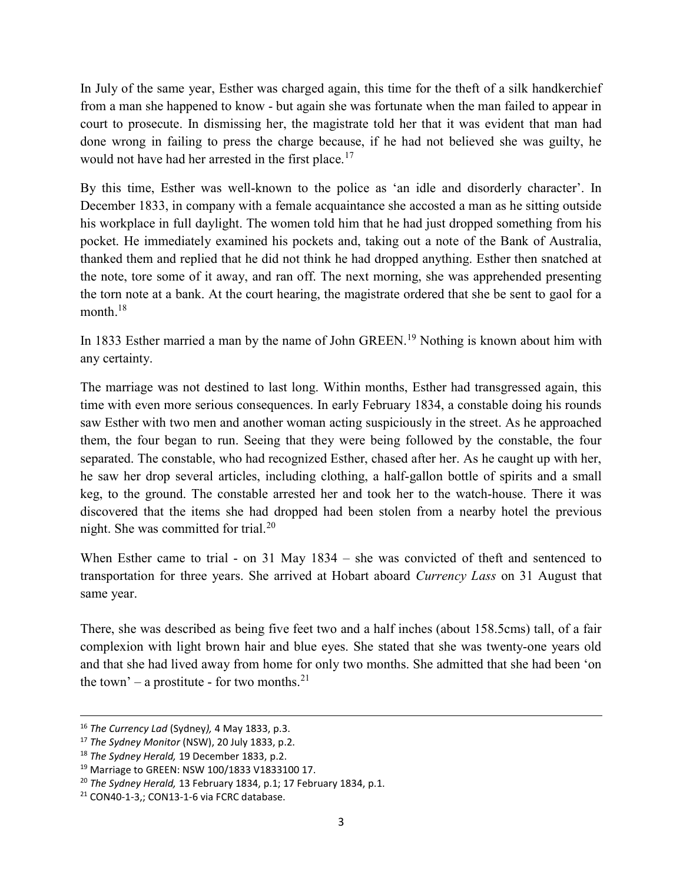In July of the same year, Esther was charged again, this time for the theft of a silk handkerchief from a man she happened to know - but again she was fortunate when the man failed to appear in court to prosecute. In dismissing her, the magistrate told her that it was evident that man had done wrong in failing to press the charge because, if he had not believed she was guilty, he would not have had her arrested in the first place.<sup>17</sup>

By this time, Esther was well-known to the police as 'an idle and disorderly character'. In December 1833, in company with a female acquaintance she accosted a man as he sitting outside his workplace in full daylight. The women told him that he had just dropped something from his pocket. He immediately examined his pockets and, taking out a note of the Bank of Australia, thanked them and replied that he did not think he had dropped anything. Esther then snatched at the note, tore some of it away, and ran off. The next morning, she was apprehended presenting the torn note at a bank. At the court hearing, the magistrate ordered that she be sent to gaol for a month.<sup>18</sup>

In 1833 Esther married a man by the name of John GREEN.<sup>19</sup> Nothing is known about him with any certainty.

The marriage was not destined to last long. Within months, Esther had transgressed again, this time with even more serious consequences. In early February 1834, a constable doing his rounds saw Esther with two men and another woman acting suspiciously in the street. As he approached them, the four began to run. Seeing that they were being followed by the constable, the four separated. The constable, who had recognized Esther, chased after her. As he caught up with her, he saw her drop several articles, including clothing, a half-gallon bottle of spirits and a small keg, to the ground. The constable arrested her and took her to the watch-house. There it was discovered that the items she had dropped had been stolen from a nearby hotel the previous night. She was committed for trial.<sup>20</sup>

When Esther came to trial - on 31 May 1834 – she was convicted of theft and sentenced to transportation for three years. She arrived at Hobart aboard Currency Lass on 31 August that same year.

There, she was described as being five feet two and a half inches (about 158.5cms) tall, of a fair complexion with light brown hair and blue eyes. She stated that she was twenty-one years old and that she had lived away from home for only two months. She admitted that she had been 'on the town' – a prostitute - for two months.<sup>21</sup>

<sup>&</sup>lt;sup>16</sup> The Currency Lad (Sydney), 4 May 1833, p.3.

<sup>&</sup>lt;sup>17</sup> The Sydney Monitor (NSW), 20 July 1833, p.2.

<sup>&</sup>lt;sup>18</sup> The Sydney Herald, 19 December 1833, p.2.

<sup>&</sup>lt;sup>19</sup> Marriage to GREEN: NSW 100/1833 V1833100 17.

 $20$  The Sydney Herald, 13 February 1834, p.1; 17 February 1834, p.1.

 $21$  CON40-1-3,; CON13-1-6 via FCRC database.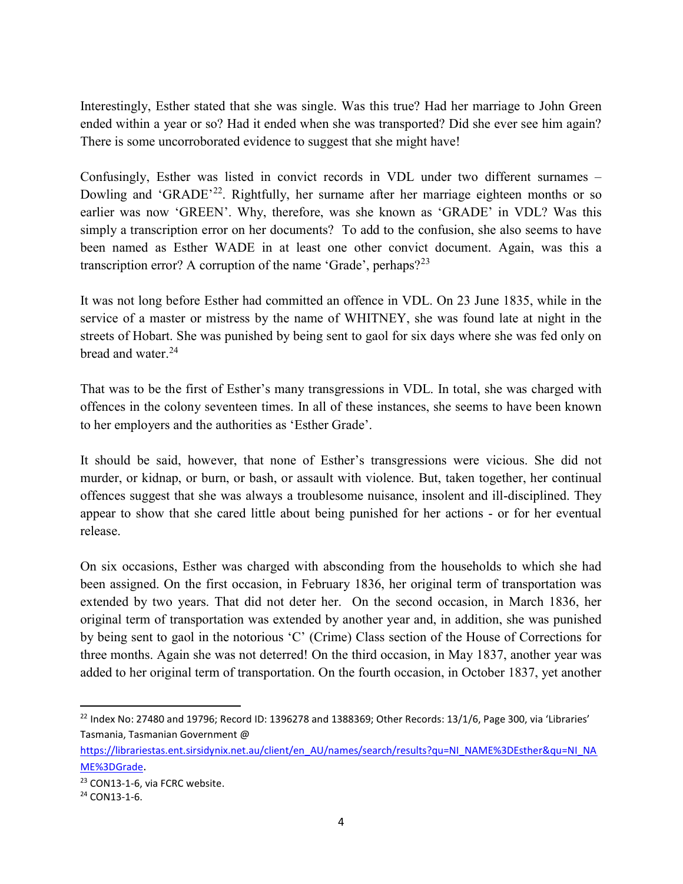Interestingly, Esther stated that she was single. Was this true? Had her marriage to John Green ended within a year or so? Had it ended when she was transported? Did she ever see him again? There is some uncorroborated evidence to suggest that she might have!

Confusingly, Esther was listed in convict records in VDL under two different surnames – Dowling and 'GRADE'<sup>22</sup>. Rightfully, her surname after her marriage eighteen months or so earlier was now 'GREEN'. Why, therefore, was she known as 'GRADE' in VDL? Was this simply a transcription error on her documents? To add to the confusion, she also seems to have been named as Esther WADE in at least one other convict document. Again, was this a transcription error? A corruption of the name 'Grade', perhaps? $2^{23}$ 

It was not long before Esther had committed an offence in VDL. On 23 June 1835, while in the service of a master or mistress by the name of WHITNEY, she was found late at night in the streets of Hobart. She was punished by being sent to gaol for six days where she was fed only on bread and water.<sup>24</sup>

That was to be the first of Esther's many transgressions in VDL. In total, she was charged with offences in the colony seventeen times. In all of these instances, she seems to have been known to her employers and the authorities as 'Esther Grade'.

It should be said, however, that none of Esther's transgressions were vicious. She did not murder, or kidnap, or burn, or bash, or assault with violence. But, taken together, her continual offences suggest that she was always a troublesome nuisance, insolent and ill-disciplined. They appear to show that she cared little about being punished for her actions - or for her eventual release.

On six occasions, Esther was charged with absconding from the households to which she had been assigned. On the first occasion, in February 1836, her original term of transportation was extended by two years. That did not deter her. On the second occasion, in March 1836, her original term of transportation was extended by another year and, in addition, she was punished by being sent to gaol in the notorious 'C' (Crime) Class section of the House of Corrections for three months. Again she was not deterred! On the third occasion, in May 1837, another year was added to her original term of transportation. On the fourth occasion, in October 1837, yet another

<sup>&</sup>lt;sup>22</sup> Index No: 27480 and 19796; Record ID: 1396278 and 1388369; Other Records: 13/1/6, Page 300, via 'Libraries' Tasmania, Tasmanian Government @

https://librariestas.ent.sirsidynix.net.au/client/en\_AU/names/search/results?qu=NI\_NAME%3DEsther&qu=NI\_NA ME%3DGrade.

<sup>23</sup> CON13-1-6, via FCRC website.

 $24$  CON13-1-6.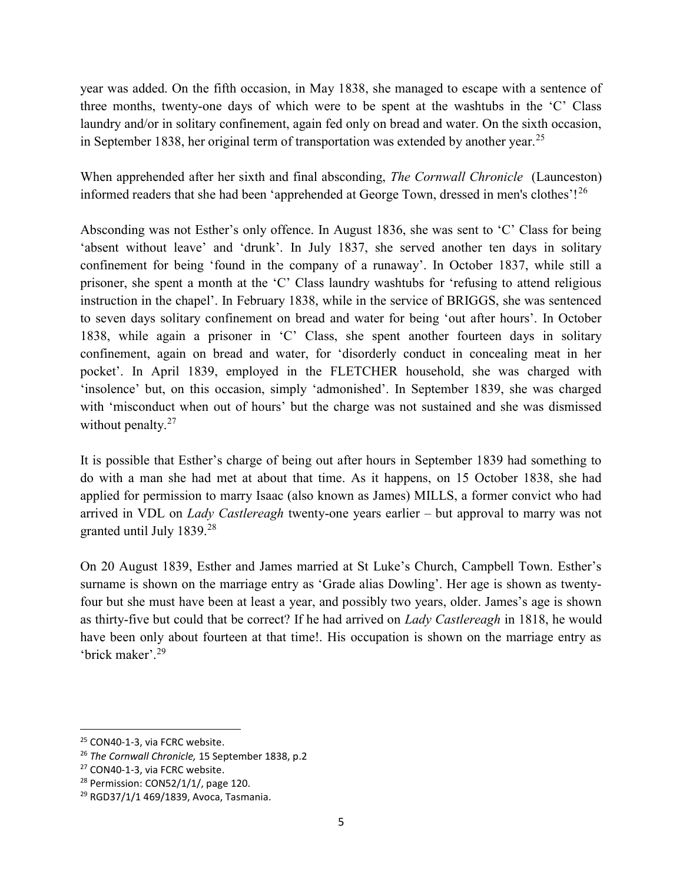year was added. On the fifth occasion, in May 1838, she managed to escape with a sentence of three months, twenty-one days of which were to be spent at the washtubs in the 'C' Class laundry and/or in solitary confinement, again fed only on bread and water. On the sixth occasion, in September 1838, her original term of transportation was extended by another year.<sup>25</sup>

When apprehended after her sixth and final absconding, *The Cornwall Chronicle* (Launceston) informed readers that she had been 'apprehended at George Town, dressed in men's clothes'!<sup>26</sup>

Absconding was not Esther's only offence. In August 1836, she was sent to 'C' Class for being 'absent without leave' and 'drunk'. In July 1837, she served another ten days in solitary confinement for being 'found in the company of a runaway'. In October 1837, while still a prisoner, she spent a month at the 'C' Class laundry washtubs for 'refusing to attend religious instruction in the chapel'. In February 1838, while in the service of BRIGGS, she was sentenced to seven days solitary confinement on bread and water for being 'out after hours'. In October 1838, while again a prisoner in 'C' Class, she spent another fourteen days in solitary confinement, again on bread and water, for 'disorderly conduct in concealing meat in her pocket'. In April 1839, employed in the FLETCHER household, she was charged with 'insolence' but, on this occasion, simply 'admonished'. In September 1839, she was charged with 'misconduct when out of hours' but the charge was not sustained and she was dismissed without penalty.<sup>27</sup>

It is possible that Esther's charge of being out after hours in September 1839 had something to do with a man she had met at about that time. As it happens, on 15 October 1838, she had applied for permission to marry Isaac (also known as James) MILLS, a former convict who had arrived in VDL on Lady Castlereagh twenty-one years earlier – but approval to marry was not granted until July 1839.<sup>28</sup>

On 20 August 1839, Esther and James married at St Luke's Church, Campbell Town. Esther's surname is shown on the marriage entry as 'Grade alias Dowling'. Her age is shown as twentyfour but she must have been at least a year, and possibly two years, older. James's age is shown as thirty-five but could that be correct? If he had arrived on Lady Castlereagh in 1818, he would have been only about fourteen at that time!. His occupation is shown on the marriage entry as 'brick maker'.<sup>29</sup>

 $\overline{a}$ 

<sup>25</sup> CON40-1-3, via FCRC website.

<sup>&</sup>lt;sup>26</sup> The Cornwall Chronicle, 15 September 1838, p.2

<sup>&</sup>lt;sup>27</sup> CON40-1-3, via FCRC website.

 $28$  Permission: CON52/1/1/, page 120.

<sup>29</sup> RGD37/1/1 469/1839, Avoca, Tasmania.